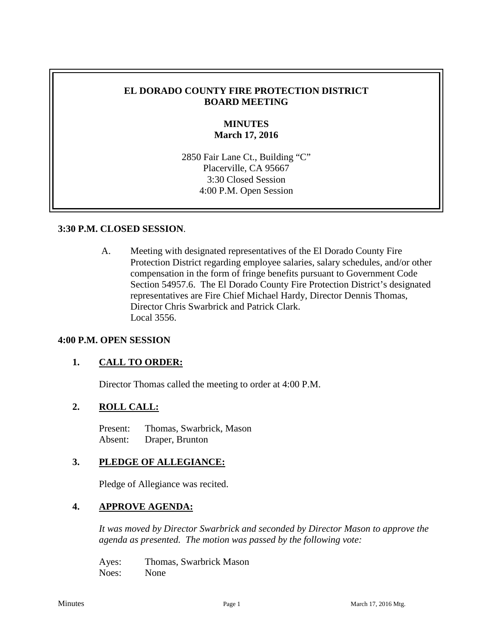#### **EL DORADO COUNTY FIRE PROTECTION DISTRICT BOARD MEETING**

## **MINUTES March 17, 2016**

2850 Fair Lane Ct., Building "C" Placerville, CA 95667 3:30 Closed Session 4:00 P.M. Open Session

#### **3:30 P.M. CLOSED SESSION**.

A. Meeting with designated representatives of the El Dorado County Fire Protection District regarding employee salaries, salary schedules, and/or other compensation in the form of fringe benefits pursuant to Government Code Section 54957.6. The El Dorado County Fire Protection District's designated representatives are Fire Chief Michael Hardy, Director Dennis Thomas, Director Chris Swarbrick and Patrick Clark. Local 3556.

#### **4:00 P.M. OPEN SESSION**

#### **1. CALL TO ORDER:**

Director Thomas called the meeting to order at 4:00 P.M.

#### **2. ROLL CALL:**

Present: Thomas, Swarbrick, Mason Absent: Draper, Brunton

#### **3. PLEDGE OF ALLEGIANCE:**

Pledge of Allegiance was recited.

## **4. APPROVE AGENDA:**

*It was moved by Director Swarbrick and seconded by Director Mason to approve the agenda as presented. The motion was passed by the following vote:*

Ayes: Thomas, Swarbrick Mason Noes: None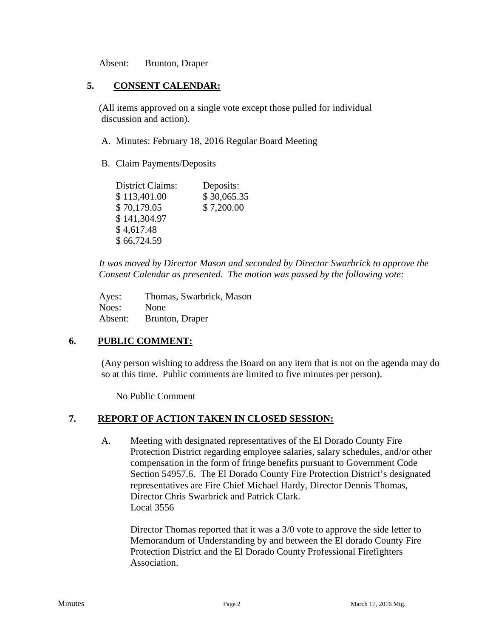Absent: Brunton, Draper

## **5. CONSENT CALENDAR:**

 (All items approved on a single vote except those pulled for individual discussion and action).

- A. Minutes: February 18, 2016 Regular Board Meeting
- B. Claim Payments/Deposits

| <b>District Claims:</b> | Deposits:   |
|-------------------------|-------------|
| \$113,401.00            | \$30,065.35 |
| \$70,179.05             | \$7,200.00  |
| \$141,304.97            |             |
| \$4,617.48              |             |
| \$66,724.59             |             |

*It was moved by Director Mason and seconded by Director Swarbrick to approve the Consent Calendar as presented. The motion was passed by the following vote:*

Ayes: Thomas, Swarbrick, Mason Noes: None Absent: Brunton, Draper

## **6. PUBLIC COMMENT:**

(Any person wishing to address the Board on any item that is not on the agenda may do so at this time. Public comments are limited to five minutes per person).

No Public Comment

## **7. REPORT OF ACTION TAKEN IN CLOSED SESSION:**

A. Meeting with designated representatives of the El Dorado County Fire Protection District regarding employee salaries, salary schedules, and/or other compensation in the form of fringe benefits pursuant to Government Code Section 54957.6. The El Dorado County Fire Protection District's designated representatives are Fire Chief Michael Hardy, Director Dennis Thomas, Director Chris Swarbrick and Patrick Clark. Local 3556

Director Thomas reported that it was a 3/0 vote to approve the side letter to Memorandum of Understanding by and between the El dorado County Fire Protection District and the El Dorado County Professional Firefighters Association.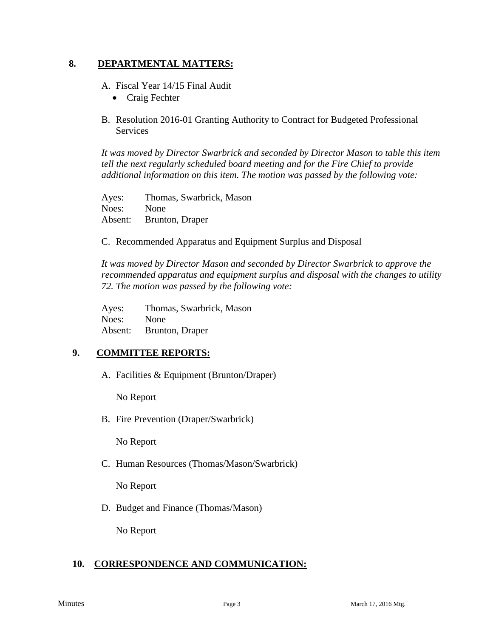#### **8. DEPARTMENTAL MATTERS:**

A. Fiscal Year 14/15 Final Audit

- Craig Fechter
- B. Resolution 2016-01 Granting Authority to Contract for Budgeted Professional Services

*It was moved by Director Swarbrick and seconded by Director Mason to table this item tell the next regularly scheduled board meeting and for the Fire Chief to provide additional information on this item. The motion was passed by the following vote:*

Ayes: Thomas, Swarbrick, Mason Noes: None Absent: Brunton, Draper

C. Recommended Apparatus and Equipment Surplus and Disposal

*It was moved by Director Mason and seconded by Director Swarbrick to approve the recommended apparatus and equipment surplus and disposal with the changes to utility 72. The motion was passed by the following vote:*

Ayes: Thomas, Swarbrick, Mason Noes: None Absent: Brunton, Draper

## **9. COMMITTEE REPORTS:**

A. Facilities & Equipment (Brunton/Draper)

No Report

B. Fire Prevention (Draper/Swarbrick)

No Report

C. Human Resources (Thomas/Mason/Swarbrick)

No Report

D. Budget and Finance (Thomas/Mason)

No Report

## **10. CORRESPONDENCE AND COMMUNICATION:**